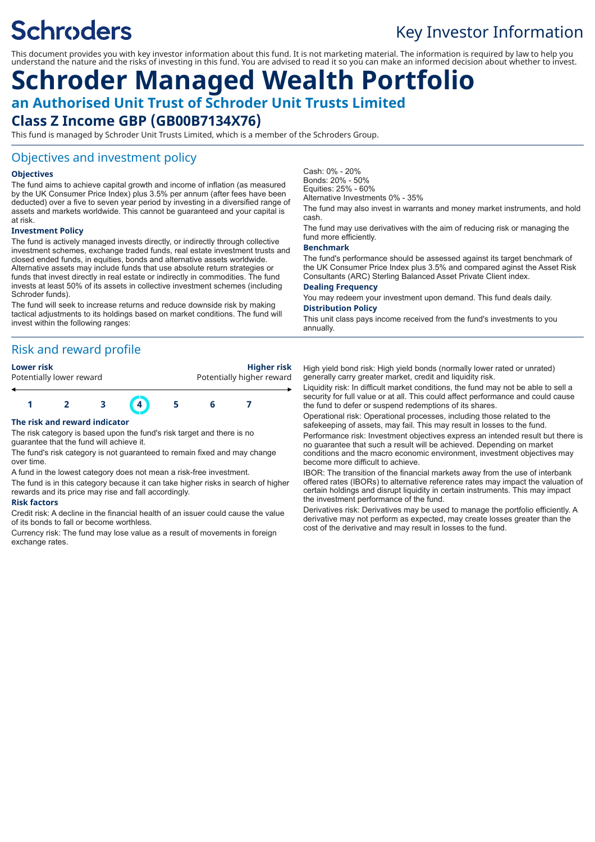# **Schroders**

# Key Investor Information

This document provides you with key investor information about this fund. It is not marketing material. The information is required by law to help you understand the nature and the risks of investing in this fund. You are advised to read it so you can make an informed decision about whether to invest.

# **Schroder Managed Wealth Portfolio an Authorised Unit Trust of Schroder Unit Trusts Limited Class Z Income GBP (GB00B7134X76)**

This fund is managed by Schroder Unit Trusts Limited, which is a member of the Schroders Group.

### Objectives and investment policy

#### **Objectives**

The fund aims to achieve capital growth and income of inflation (as measured by the UK Consumer Price Index) plus 3.5% per annum (after fees have been deducted) over a five to seven year period by investing in a diversified range of assets and markets worldwide. This cannot be guaranteed and your capital is at risk.

#### **Investment Policy**

The fund is actively managed invests directly, or indirectly through collective investment schemes, exchange traded funds, real estate investment trusts and closed ended funds, in equities, bonds and alternative assets worldwide. Alternative assets may include funds that use absolute return strategies or funds that invest directly in real estate or indirectly in commodities. The fund invests at least 50% of its assets in collective investment schemes (including Schroder funds).

The fund will seek to increase returns and reduce downside risk by making tactical adjustments to its holdings based on market conditions. The fund will invest within the following ranges:

# Risk and reward profile

| <b>Lower risk</b> |                          |  | Higher risk<br>Potentially higher reward |  |  |  |
|-------------------|--------------------------|--|------------------------------------------|--|--|--|
|                   | Potentially lower reward |  |                                          |  |  |  |
|                   |                          |  |                                          |  |  |  |
|                   |                          |  |                                          |  |  |  |

#### **The risk and reward indicator**

The risk category is based upon the fund's risk target and there is no guarantee that the fund will achieve it.

The fund's risk category is not guaranteed to remain fixed and may change over time.

A fund in the lowest category does not mean a risk-free investment.

The fund is in this category because it can take higher risks in search of higher rewards and its price may rise and fall accordingly.

#### **Risk factors**

Credit risk: A decline in the financial health of an issuer could cause the value of its bonds to fall or become worthless.

Currency risk: The fund may lose value as a result of movements in foreign exchange rates

Cash: 0% - 20% Bonds: 20% - 50% Equities: 25% - 60% Alternative Investments 0% - 35%

The fund may also invest in warrants and money market instruments, and hold cash.

The fund may use derivatives with the aim of reducing risk or managing the fund more efficiently.

#### **Benchmark**

The fund's performance should be assessed against its target benchmark of the UK Consumer Price Index plus 3.5% and compared aginst the Asset Risk Consultants (ARC) Sterling Balanced Asset Private Client index.

#### **Dealing Frequency**

You may redeem your investment upon demand. This fund deals daily. **Distribution Policy**

This unit class pays income received from the fund's investments to you annually.

High yield bond risk: High yield bonds (normally lower rated or unrated) generally carry greater market, credit and liquidity risk.

Liquidity risk: In difficult market conditions, the fund may not be able to sell a security for full value or at all. This could affect performance and could cause the fund to defer or suspend redemptions of its shares.

Operational risk: Operational processes, including those related to the safekeeping of assets, may fail. This may result in losses to the fund.

Performance risk: Investment objectives express an intended result but there is no guarantee that such a result will be achieved. Depending on market conditions and the macro economic environment, investment objectives may become more difficult to achieve.

IBOR: The transition of the financial markets away from the use of interbank offered rates (IBORs) to alternative reference rates may impact the valuation of certain holdings and disrupt liquidity in certain instruments. This may impact the investment performance of the fund.

Derivatives risk: Derivatives may be used to manage the portfolio efficiently. A derivative may not perform as expected, may create losses greater than the cost of the derivative and may result in losses to the fund.